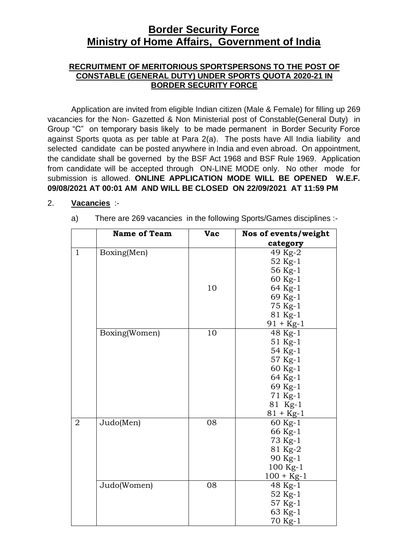# **Border Security Force Ministry of Home Affairs, Government of India**

### **RECRUITMENT OF MERITORIOUS SPORTSPERSONS TO THE POST OF CONSTABLE (GENERAL DUTY) UNDER SPORTS QUOTA 2020-21 IN BORDER SECURITY FORCE**

Application are invited from eligible Indian citizen (Male & Female) for filling up 269 vacancies for the Non- Gazetted & Non Ministerial post of Constable(General Duty) in Group "C" on temporary basis likely to be made permanent in Border Security Force against Sports quota as per table at Para 2(a). The posts have All India liability and selected candidate can be posted anywhere in India and even abroad. On appointment, the candidate shall be governed by the BSF Act 1968 and BSF Rule 1969. Application from candidate will be accepted through ON-LINE MODE only. No other mode for submission is allowed. **ONLINE APPLICATION MODE WILL BE OPENED W.E.F. 09/08/2021 AT 00:01 AM AND WILL BE CLOSED ON 22/09/2021 AT 11:59 PM**

### 2. **Vacancies** :-

a) There are 269 vacancies in the following Sports/Games disciplines :-

|              | <b>Name of Team</b> | <b>Vac</b> | Nos of events/weight |
|--------------|---------------------|------------|----------------------|
|              |                     |            | category             |
| $\mathbf{1}$ | Boxing(Men)         |            | 49 Kg-2              |
|              |                     |            | 52 Kg-1              |
|              |                     |            | 56 Kg-1              |
|              |                     |            | 60 Kg-1              |
|              |                     | 10         | 64 Kg-1              |
|              |                     |            | 69 Kg-1              |
|              |                     |            | 75 Kg-1              |
|              |                     |            | 81 Kg-1              |
|              |                     |            | $91 + Kg-1$          |
|              | Boxing(Women)       | 10         | 48 Kg-1              |
|              |                     |            | 51 Kg-1              |
|              |                     |            | 54 Kg-1              |
|              |                     |            | 57 Kg-1              |
|              |                     |            | 60 Kg-1              |
|              |                     |            | 64 Kg-1              |
|              |                     |            | 69 Kg-1              |
|              |                     |            | 71 Kg-1              |
|              |                     |            | 81 Kg-1              |
|              |                     |            | $81 + Kg-1$          |
| 2            | Judo(Men)           | 08         | 60 Kg-1              |
|              |                     |            | 66 Kg-1              |
|              |                     |            | 73 Kg-1              |
|              |                     |            | 81 Kg-2              |
|              |                     |            | 90 Kg-1              |
|              |                     |            | 100 Kg-1             |
|              |                     |            | $100 + Kg-1$         |
|              | Judo(Women)         | 08         | 48 Kg-1              |
|              |                     |            | 52 Kg-1              |
|              |                     |            | 57 Kg-1              |
|              |                     |            | 63 Kg-1              |
|              |                     |            | 70 Kg-1              |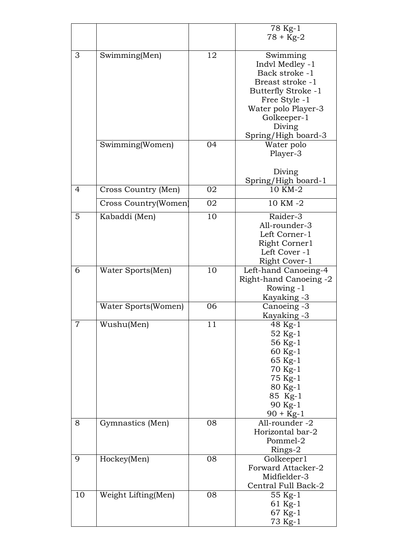|                |                      |    | 78 Kg-1                    |
|----------------|----------------------|----|----------------------------|
|                |                      |    | $78 + Kg-2$                |
|                |                      |    |                            |
| 3              | Swimming(Men)        | 12 | Swimming                   |
|                |                      |    | Indyl Medley -1            |
|                |                      |    | Back stroke -1             |
|                |                      |    | Breast stroke -1           |
|                |                      |    | <b>Butterfly Stroke -1</b> |
|                |                      |    | Free Style -1              |
|                |                      |    | Water polo Player-3        |
|                |                      |    | Golkeeper-1                |
|                |                      |    | Diving                     |
|                |                      |    | Spring/High board-3        |
|                | Swimming(Women)      | 04 | Water polo                 |
|                |                      |    | Player-3                   |
|                |                      |    |                            |
|                |                      |    | Diving                     |
|                |                      |    | Spring/High board-1        |
| $\overline{4}$ | Cross Country (Men)  | 02 | 10 KM-2                    |
|                | Cross Country(Women) | 02 | 10 KM -2                   |
| 5              | Kabaddi (Men)        | 10 | Raider-3                   |
|                |                      |    | All-rounder-3              |
|                |                      |    | Left Corner-1              |
|                |                      |    | Right Corner1              |
|                |                      |    | Left Cover -1              |
|                |                      |    | Right Cover-1              |
| 6              | Water Sports(Men)    | 10 | Left-hand Canoeing-4       |
|                |                      |    | Right-hand Canoeing -2     |
|                |                      |    | Rowing -1                  |
|                |                      |    | Kayaking -3                |
|                | Water Sports (Women) | 06 | Canoeing -3                |
|                |                      |    | Kayaking -3                |
| 7              | Wushu(Men)           | 11 | 48 Kg-1                    |
|                |                      |    | 52 Kg-1                    |
|                |                      |    | 56 Kg-1                    |
|                |                      |    | 60 Kg-1                    |
|                |                      |    | 65 Kg-1                    |
|                |                      |    | 70 Kg-1                    |
|                |                      |    | 75 Kg-1                    |
|                |                      |    | 80 Kg-1                    |
|                |                      |    | 85 Kg-1                    |
|                |                      |    | 90 Kg-1                    |
|                |                      |    | $90 + Kg-1$                |
| 8              | Gymnastics (Men)     | 08 | All-rounder -2             |
|                |                      |    | Horizontal bar-2           |
|                |                      |    | Pommel-2                   |
|                |                      |    | Rings-2                    |
| 9              | Hockey(Men)          | 08 | Golkeeper1                 |
|                |                      |    | Forward Attacker-2         |
|                |                      |    | Midfielder-3               |
|                |                      |    | Central Full Back-2        |
| 10             | Weight Lifting(Men)  | 08 | 55 Kg-1                    |
|                |                      |    | 61 Kg-1                    |
|                |                      |    | 67 Kg-1                    |
|                |                      |    | 73 Kg-1                    |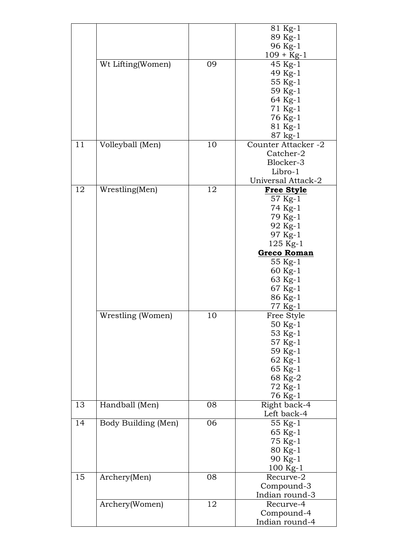|    |                     |    | 81 Kg-1             |
|----|---------------------|----|---------------------|
|    |                     |    | 89 Kg-1             |
|    |                     |    | 96 Kg-1             |
|    |                     |    | $109 + Kg-1$        |
|    | Wt Lifting(Women)   | 09 | $45$ Kg-1           |
|    |                     |    | 49 Kg-1             |
|    |                     |    | 55 Kg-1             |
|    |                     |    | 59 Kg-1             |
|    |                     |    | 64 Kg-1             |
|    |                     |    | 71 Kg-1             |
|    |                     |    | 76 Kg-1             |
|    |                     |    | 81 Kg-1             |
|    |                     |    | 87 kg-1             |
| 11 | Volleyball (Men)    | 10 | Counter Attacker -2 |
|    |                     |    | Catcher-2           |
|    |                     |    | Blocker-3           |
|    |                     |    | Libro-1             |
|    |                     |    | Universal Attack-2  |
| 12 | Wrestling(Men)      | 12 | <b>Free Style</b>   |
|    |                     |    | 57 Kg-1             |
|    |                     |    | 74 Kg-1             |
|    |                     |    | 79 Kg-1             |
|    |                     |    | 92 Kg-1             |
|    |                     |    | 97 Kg-1             |
|    |                     |    | $125$ Kg-1          |
|    |                     |    | <b>Greco Roman</b>  |
|    |                     |    | 55 Kg-1             |
|    |                     |    | 60 Kg-1             |
|    |                     |    | 63 Kg-1             |
|    |                     |    | 67 Kg-1             |
|    |                     |    | 86 Kg-1             |
|    |                     |    | 77 Kg-1             |
|    | Wrestling (Women)   | 10 | Free Style          |
|    |                     |    | 50 Kg-1             |
|    |                     |    | 53 Kg-1             |
|    |                     |    | 57 Kg-1             |
|    |                     |    | 59 Kg-1             |
|    |                     |    | 62 Kg-1             |
|    |                     |    | 65 Kg-1             |
|    |                     |    | 68 Kg-2             |
|    |                     |    | 72 Kg-1             |
|    |                     |    | 76 Kg-1             |
| 13 | Handball (Men)      | 08 | Right back-4        |
|    |                     |    | Left back-4         |
| 14 | Body Building (Men) | 06 | 55 Kg-1             |
|    |                     |    | 65 Kg-1             |
|    |                     |    | 75 Kg-1             |
|    |                     |    | 80 Kg-1             |
|    |                     |    | 90 Kg-1             |
|    |                     |    | 100 Kg-1            |
| 15 | Archery(Men)        | 08 | Recurve-2           |
|    |                     |    | Compound-3          |
|    |                     |    | Indian round-3      |
|    | Archery(Women)      | 12 | Recurve-4           |
|    |                     |    | Compound-4          |
|    |                     |    | Indian round-4      |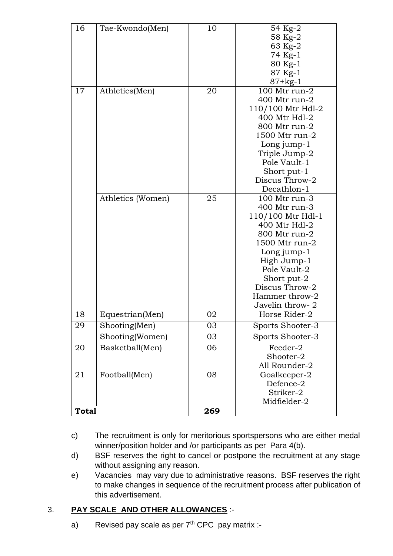| 16           | Tae-Kwondo(Men)   | 10  | 54 Kg-2<br>58 Kg-2<br>63 Kg-2<br>74 Kg-1<br>80 Kg-1<br>87 Kg-1<br>$87 + kg - 1$                                                                                                                                             |
|--------------|-------------------|-----|-----------------------------------------------------------------------------------------------------------------------------------------------------------------------------------------------------------------------------|
| 17           | Athletics(Men)    | 20  | 100 Mtr run-2<br>400 Mtr run-2<br>110/100 Mtr Hdl-2<br>400 Mtr Hdl-2<br>800 Mtr run-2<br>1500 Mtr run-2<br>Long jump-1<br>Triple Jump-2<br>Pole Vault-1<br>Short put-1<br>Discus Throw-2<br>Decathlon-1                     |
|              | Athletics (Women) | 25  | 100 Mtr run-3<br>400 Mtr run-3<br>110/100 Mtr Hdl-1<br>400 Mtr Hdl-2<br>800 Mtr run-2<br>1500 Mtr run-2<br>Long jump-1<br>High Jump-1<br>Pole Vault-2<br>Short put-2<br>Discus Throw-2<br>Hammer throw-2<br>Javelin throw-2 |
| 18           | Equestrian(Men)   | 02  | Horse Rider-2                                                                                                                                                                                                               |
| 29           | Shooting(Men)     | 03  | Sports Shooter-3                                                                                                                                                                                                            |
|              | Shooting(Women)   | 03  | Sports Shooter-3                                                                                                                                                                                                            |
| 20           | Basketball(Men)   | 06  | Feeder-2<br>Shooter-2<br>All Rounder-2                                                                                                                                                                                      |
| 21           | Football(Men)     | 08  | Goalkeeper-2<br>Defence-2<br>Striker-2<br>Midfielder-2                                                                                                                                                                      |
| <b>Total</b> |                   | 269 |                                                                                                                                                                                                                             |

- c) The recruitment is only for meritorious sportspersons who are either medal winner/position holder and /or participants as per Para 4(b).
- d) BSF reserves the right to cancel or postpone the recruitment at any stage without assigning any reason.
- e) Vacancies may vary due to administrative reasons. BSF reserves the right to make changes in sequence of the recruitment process after publication of this advertisement.

# 3. **PAY SCALE AND OTHER ALLOWANCES** :-

a) Revised pay scale as per  $7<sup>th</sup>$  CPC pay matrix :-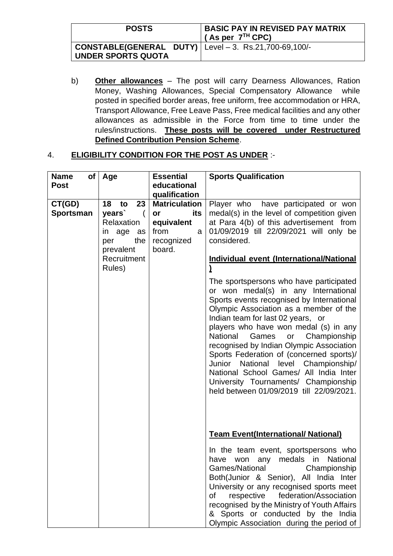| <b>POSTS</b>                                                                               | <b>BASIC PAY IN REVISED PAY MATRIX</b><br>$\frac{1}{2}$ (As per $7^{TH}$ CPC) |
|--------------------------------------------------------------------------------------------|-------------------------------------------------------------------------------|
| $ $ CONSTABLE(GENERAL DUTY) $ $ Level – 3. Rs.21,700-69,100/-<br><b>UNDER SPORTS QUOTA</b> |                                                                               |

b) **Other allowances** – The post will carry Dearness Allowances, Ration Money, Washing Allowances, Special Compensatory Allowance while posted in specified border areas, free uniform, free accommodation or HRA, Transport Allowance, Free Leave Pass, Free medical facilities and any other allowances as admissible in the Force from time to time under the rules/instructions. **These posts will be covered under Restructured Defined Contribution Pension Scheme**.

## 4. **ELIGIBILITY CONDITION FOR THE POST AS UNDER** :-

| <b>Name</b><br>of I<br><b>Post</b> | Age                                                                               | <b>Essential</b><br>educational<br>qualification                                     | <b>Sports Qualification</b>                                                                                                                                                                                                                                                                                                                                                                                                                                                                                                                                  |
|------------------------------------|-----------------------------------------------------------------------------------|--------------------------------------------------------------------------------------|--------------------------------------------------------------------------------------------------------------------------------------------------------------------------------------------------------------------------------------------------------------------------------------------------------------------------------------------------------------------------------------------------------------------------------------------------------------------------------------------------------------------------------------------------------------|
| CT(GD)<br>Sportsman                | 23<br>18<br>to<br>years`<br>Relaxation<br>in age<br>as<br>the<br>per<br>prevalent | <b>Matriculation</b><br>its<br>or<br>equivalent<br>from<br>a<br>recognized<br>board. | Player who have participated or won<br>medal(s) in the level of competition given<br>at Para 4(b) of this advertisement from<br>01/09/2019 till 22/09/2021 will only be<br>considered.                                                                                                                                                                                                                                                                                                                                                                       |
|                                    | Recruitment<br>Rules)                                                             |                                                                                      | Individual event (International/National                                                                                                                                                                                                                                                                                                                                                                                                                                                                                                                     |
|                                    |                                                                                   |                                                                                      | The sportspersons who have participated<br>or won medal(s) in any International<br>Sports events recognised by International<br>Olympic Association as a member of the<br>Indian team for last 02 years, or<br>players who have won medal (s) in any<br>National<br>Games<br>Championship<br>or<br>recognised by Indian Olympic Association<br>Sports Federation of (concerned sports)/<br>Junior National level Championship/<br>National School Games/ All India Inter<br>University Tournaments/ Championship<br>held between 01/09/2019 till 22/09/2021. |
|                                    |                                                                                   |                                                                                      | <b>Team Event(International/ National)</b>                                                                                                                                                                                                                                                                                                                                                                                                                                                                                                                   |
|                                    |                                                                                   |                                                                                      | In the team event, sportspersons who<br>medals in National<br>have<br>any<br>won<br>Games/National<br>Championship<br>Both(Junior & Senior), All India Inter<br>University or any recognised sports meet<br>federation/Association<br>respective<br>0f<br>recognised by the Ministry of Youth Affairs<br>& Sports or conducted by the India                                                                                                                                                                                                                  |
|                                    |                                                                                   |                                                                                      | Olympic Association during the period of                                                                                                                                                                                                                                                                                                                                                                                                                                                                                                                     |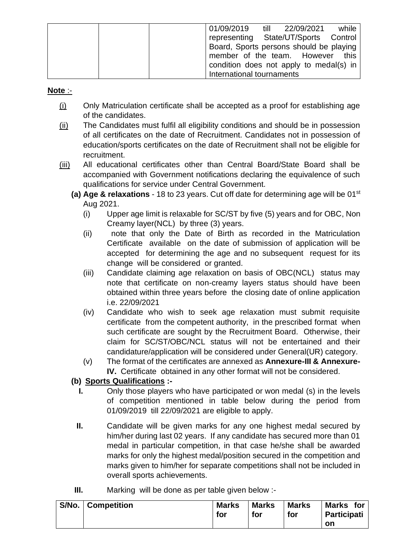|  | 01/09/2019 till 22/09/2021              |  | while |
|--|-----------------------------------------|--|-------|
|  | representing State/UT/Sports Control    |  |       |
|  | Board, Sports persons should be playing |  |       |
|  | member of the team. However this        |  |       |
|  | condition does not apply to medal(s) in |  |       |
|  | International tournaments               |  |       |

### **Note** :-

- (i) Only Matriculation certificate shall be accepted as a proof for establishing age of the candidates.
- (ii) The Candidates must fulfil all eligibility conditions and should be in possession of all certificates on the date of Recruitment. Candidates not in possession of education/sports certificates on the date of Recruitment shall not be eligible for recruitment.
- (iii) All educational certificates other than Central Board/State Board shall be accompanied with Government notifications declaring the equivalence of such qualifications for service under Central Government.
	- **(a) Age & relaxations** 18 to 23 years. Cut off date for determining age will be 01st Aug 2021.
		- (i) Upper age limit is relaxable for SC/ST by five (5) years and for OBC, Non Creamy layer(NCL) by three (3) years.
		- (ii) note that only the Date of Birth as recorded in the Matriculation Certificate available on the date of submission of application will be accepted for determining the age and no subsequent request for its change will be considered or granted.
		- (iii) Candidate claiming age relaxation on basis of OBC(NCL) status may note that certificate on non-creamy layers status should have been obtained within three years before the closing date of online application i.e. 22/09/2021
		- (iv) Candidate who wish to seek age relaxation must submit requisite certificate from the competent authority, in the prescribed format when such certificate are sought by the Recruitment Board. Otherwise, their claim for SC/ST/OBC/NCL status will not be entertained and their candidature/application will be considered under General(UR) category.
		- (v) The format of the certificates are annexed as **Annexure-III & Annexure-IV.** Certificate obtained in any other format will not be considered.

## **(b) Sports Qualifications :-**

- **I.** Only those players who have participated or won medal (s) in the levels of competition mentioned in table below during the period from 01/09/2019 till 22/09/2021 are eligible to apply.
- **II.** Candidate will be given marks for any one highest medal secured by him/her during last 02 years. If any candidate has secured more than 01 medal in particular competition, in that case he/she shall be awarded marks for only the highest medal/position secured in the competition and marks given to him/her for separate competitions shall not be included in overall sports achievements.
- **III.** Marking will be done as per table given below :-

| S/No. | <b>∣ Competition</b> | <b>Marks</b><br>for | <b>Marks</b><br>for | <b>Marks</b><br>for | <b>Marks</b><br>for<br><b>Participati</b> |
|-------|----------------------|---------------------|---------------------|---------------------|-------------------------------------------|
|       |                      |                     |                     |                     | on                                        |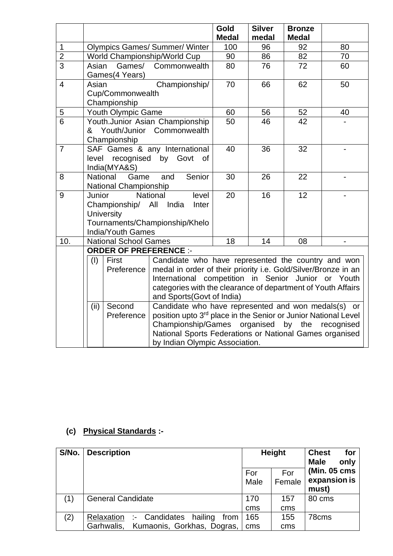|                |                 |                                  | Gold<br><b>Silver</b><br><b>Bronze</b><br><b>Medal</b><br>medal<br><b>Medal</b> |     |    |    |                          |  |
|----------------|-----------------|----------------------------------|---------------------------------------------------------------------------------|-----|----|----|--------------------------|--|
| $\mathbf 1$    |                 |                                  | <b>Olympics Games/ Summer/ Winter</b>                                           | 100 | 96 | 92 | 80                       |  |
| $\overline{2}$ |                 |                                  | World Championship/World Cup                                                    | 90  | 86 | 82 | 70                       |  |
| $\overline{3}$ | Asian           | Games/                           | Commonwealth                                                                    | 80  | 76 | 72 | 60                       |  |
|                |                 | Games(4 Years)                   |                                                                                 |     |    |    |                          |  |
| $\overline{4}$ | Asian           |                                  | Championship/                                                                   | 70  | 66 | 62 | 50                       |  |
|                |                 | Cup/Commonwealth<br>Championship |                                                                                 |     |    |    |                          |  |
| 5              |                 | Youth Olympic Game               |                                                                                 | 60  | 56 | 52 | 40                       |  |
| 6              |                 |                                  | Youth.Junior Asian Championship                                                 | 50  | 46 | 42 |                          |  |
|                |                 |                                  | & Youth/Junior Commonwealth                                                     |     |    |    |                          |  |
|                |                 | Championship                     |                                                                                 |     |    |    |                          |  |
| $\overline{7}$ |                 |                                  | SAF Games & any International                                                   | 40  | 36 | 32 |                          |  |
|                | level           |                                  | recognised by Govt<br>of                                                        |     |    |    |                          |  |
|                |                 | India(MYA&S)                     |                                                                                 |     |    |    |                          |  |
| 8              | <b>National</b> | Game                             | Senior<br>and                                                                   | 30  | 26 | 22 |                          |  |
|                |                 | National Championship            |                                                                                 |     |    |    |                          |  |
| 9              | Junior          |                                  | <b>National</b><br>level                                                        | 20  | 16 | 12 |                          |  |
|                |                 | Championship/ All                | India<br>Inter                                                                  |     |    |    |                          |  |
|                |                 | <b>University</b>                |                                                                                 |     |    |    |                          |  |
|                |                 | <b>India/Youth Games</b>         | Tournaments/Championship/Khelo                                                  |     |    |    |                          |  |
| 10.            |                 | <b>National School Games</b>     |                                                                                 | 18  | 14 | 08 | $\overline{\phantom{0}}$ |  |
|                |                 | <b>ORDER OF PREFERENCE :-</b>    |                                                                                 |     |    |    |                          |  |
|                | (1)             | First                            | Candidate who have represented the country and won                              |     |    |    |                          |  |
|                |                 | Preference                       | medal in order of their priority i.e. Gold/Silver/Bronze in an                  |     |    |    |                          |  |
|                |                 |                                  | International competition in Senior Junior or Youth                             |     |    |    |                          |  |
|                |                 |                                  | categories with the clearance of department of Youth Affairs                    |     |    |    |                          |  |
|                |                 |                                  | and Sports(Govt of India)                                                       |     |    |    |                          |  |
|                | (ii)            | Second                           | Candidate who have represented and won medals(s) or                             |     |    |    |                          |  |
|                |                 | Preference                       | position upto 3 <sup>rd</sup> place in the Senior or Junior National Level      |     |    |    |                          |  |
|                |                 |                                  | Championship/Games organised by the recognised                                  |     |    |    |                          |  |
|                |                 |                                  | National Sports Federations or National Games organised                         |     |    |    |                          |  |
|                |                 |                                  | by Indian Olympic Association.                                                  |     |    |    |                          |  |

# **(c) Physical Standards :-**

| S/No. | <b>Description</b>                          | <b>Height</b> |        | <b>Chest</b><br>for<br>only<br><b>Male</b> |
|-------|---------------------------------------------|---------------|--------|--------------------------------------------|
|       |                                             | For           | For    | (Min. 05 cms                               |
|       |                                             | Male          | Female | expansion is                               |
|       |                                             |               |        | must)                                      |
| (1)   | <b>General Candidate</b>                    | 170           | 157    | 80 cms                                     |
|       |                                             | cms           | cms    |                                            |
| (2)   | hailing<br>Relaxation :- Candidates<br>from | 165           | 155    | 78cms                                      |
|       | Kumaonis, Gorkhas, Dogras,<br>Garhwalis,    | cms           | cms    |                                            |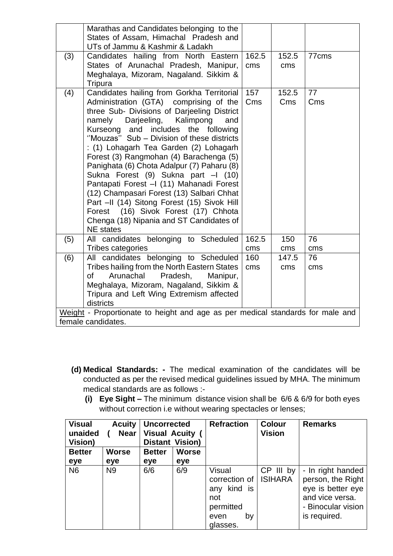|     | Marathas and Candidates belonging to the<br>States of Assam, Himachal Pradesh and<br>UTs of Jammu & Kashmir & Ladakh                                                                                                                                                                                                                                                                                                                                                                                                                                                                                                                                                                          |              |              |           |  |  |  |
|-----|-----------------------------------------------------------------------------------------------------------------------------------------------------------------------------------------------------------------------------------------------------------------------------------------------------------------------------------------------------------------------------------------------------------------------------------------------------------------------------------------------------------------------------------------------------------------------------------------------------------------------------------------------------------------------------------------------|--------------|--------------|-----------|--|--|--|
| (3) | Candidates hailing from North Eastern<br>States of Arunachal Pradesh, Manipur,<br>Meghalaya, Mizoram, Nagaland. Sikkim &<br>Tripura                                                                                                                                                                                                                                                                                                                                                                                                                                                                                                                                                           | 162.5<br>cms | 152.5<br>cms | 77cms     |  |  |  |
| (4) | Candidates hailing from Gorkha Territorial<br>Administration (GTA) comprising of the<br>three Sub- Divisions of Darjeeling District<br>namely<br>Darjeeling,<br>Kalimpong<br>and<br>Kurseong and includes the following<br>"Mouzas" Sub - Division of these districts<br>: (1) Lohagarh Tea Garden (2) Lohagarh<br>Forest (3) Rangmohan (4) Barachenga (5)<br>Panighata (6) Chota Adalpur (7) Paharu (8)<br>Sukna Forest (9) Sukna part - (10)<br>Pantapati Forest - (11) Mahanadi Forest<br>(12) Champasari Forest (13) Salbari Chhat<br>Part -II (14) Sitong Forest (15) Sivok Hill<br>Forest (16) Sivok Forest (17) Chhota<br>Chenga (18) Nipania and ST Candidates of<br><b>NE</b> states | 157<br>Cms   | 152.5<br>Cms | 77<br>Cms |  |  |  |
| (5) | All candidates belonging to Scheduled<br>Tribes categories                                                                                                                                                                                                                                                                                                                                                                                                                                                                                                                                                                                                                                    | 162.5<br>cms | 150<br>cms   | 76<br>cms |  |  |  |
| (6) | candidates belonging to Scheduled<br>All<br>Tribes hailing from the North Eastern States<br><b>of</b><br>Arunachal<br>Pradesh,<br>Manipur,<br>Meghalaya, Mizoram, Nagaland, Sikkim &<br>Tripura and Left Wing Extremism affected<br>districts                                                                                                                                                                                                                                                                                                                                                                                                                                                 | 160<br>cms   | 147.5<br>cms | 76<br>cms |  |  |  |
|     | Weight - Proportionate to height and age as per medical standards for male and<br>female candidates.                                                                                                                                                                                                                                                                                                                                                                                                                                                                                                                                                                                          |              |              |           |  |  |  |

- **(d) Medical Standards: -** The medical examination of the candidates will be conducted as per the revised medical guidelines issued by MHA. The minimum medical standards are as follows :-
	- **(i) Eye Sight –** The minimum distance vision shall be 6/6 & 6/9 for both eyes without correction i.e without wearing spectacles or lenses;

| <b>Visual</b><br>unaided<br>Vision) | <b>Acuity</b><br><b>Near</b> | <b>Uncorrected</b><br><b>Visual Acuity (</b><br><b>Distant Vision)</b> |              | <b>Refraction</b>                                                                              | <b>Colour</b><br><b>Vision</b> | <b>Remarks</b>                                                                                                       |
|-------------------------------------|------------------------------|------------------------------------------------------------------------|--------------|------------------------------------------------------------------------------------------------|--------------------------------|----------------------------------------------------------------------------------------------------------------------|
| <b>Better</b>                       | <b>Worse</b>                 | <b>Better</b>                                                          | <b>Worse</b> |                                                                                                |                                |                                                                                                                      |
| eye                                 | eye                          | eye                                                                    | eye          |                                                                                                |                                |                                                                                                                      |
| N <sub>6</sub>                      | N <sub>9</sub>               | 6/6                                                                    | 6/9          | <b>Visual</b><br>correction of<br>kind is<br>any<br>not<br>permitted<br>by<br>even<br>glasses. | CP III by<br><b>ISIHARA</b>    | - In right handed<br>person, the Right<br>eye is better eye<br>and vice versa.<br>- Binocular vision<br>is required. |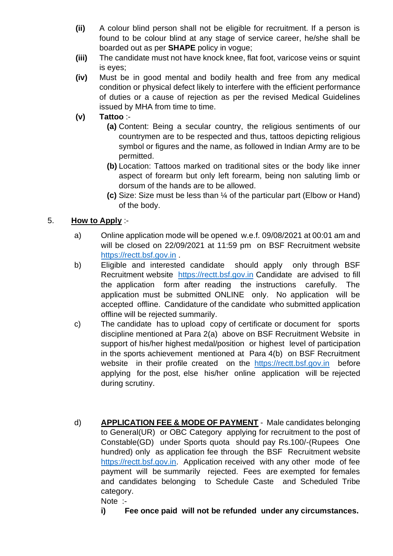- **(ii)** A colour blind person shall not be eligible for recruitment. If a person is found to be colour blind at any stage of service career, he/she shall be boarded out as per **SHAPE** policy in vogue;
- **(iii)** The candidate must not have knock knee, flat foot, varicose veins or squint is eyes;
- **(iv)** Must be in good mental and bodily health and free from any medical condition or physical defect likely to interfere with the efficient performance of duties or a cause of rejection as per the revised Medical Guidelines issued by MHA from time to time.
- **(v) Tattoo** :-
	- **(a)** Content: Being a secular country, the religious sentiments of our countrymen are to be respected and thus, tattoos depicting religious symbol or figures and the name, as followed in Indian Army are to be permitted.
	- **(b)** Location: Tattoos marked on traditional sites or the body like inner aspect of forearm but only left forearm, being non saluting limb or dorsum of the hands are to be allowed.
	- **(c)** Size: Size must be less than ¼ of the particular part (Elbow or Hand) of the body.

## 5. **How to Apply** :-

- a) Online application mode will be opened w.e.f. 09/08/2021 at 00:01 am and will be closed on 22/09/2021 at 11:59 pm on BSF Recruitment website [https://rectt.bsf.gov.in](https://rectt.bsf.gov.in/) .
- b) Eligible and interested candidate should apply only through BSF Recruitment website [https://rectt.bsf.gov.in](https://rectt.bsf.gov.in/) Candidate are advised to fill the application form after reading the instructions carefully. The application must be submitted ONLINE only. No application will be accepted offline. Candidature of the candidate who submitted application offline will be rejected summarily.
- c) The candidate has to upload copy of certificate or document for sports discipline mentioned at Para 2(a) above on BSF Recruitment Website in support of his/her highest medal/position or highest level of participation in the sports achievement mentioned at Para 4(b) on BSF Recruitment website in their profile created on the [https://rectt.bsf.gov.in](https://rectt.bsf.gov.in/) before applying for the post, else his/her online application will be rejected during scrutiny.
- d) **APPLICATION FEE & MODE OF PAYMENT** Male candidates belonging to General(UR) or OBC Category applying for recruitment to the post of Constable(GD) under Sports quota should pay Rs.100/-(Rupees One hundred) only as application fee through the BSF Recruitment website [https://rectt.bsf.gov.in.](https://rectt.bsf.gov.in/) Application received with any other mode of fee payment will be summarily rejected. Fees are exempted for females and candidates belonging to Schedule Caste and Scheduled Tribe category.

Note :-

**i) Fee once paid will not be refunded under any circumstances.**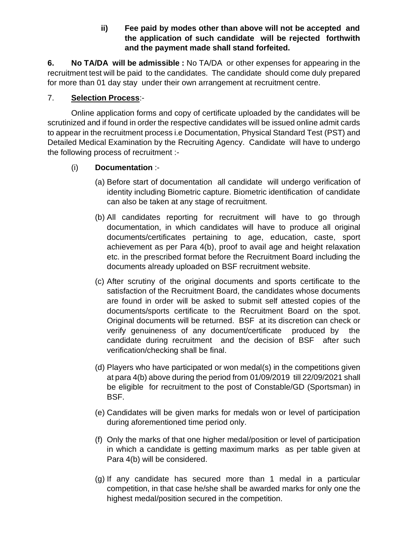## **ii) Fee paid by modes other than above will not be accepted and the application of such candidate will be rejected forthwith and the payment made shall stand forfeited.**

**6. No TA/DA will be admissible :** No TA/DA or other expenses for appearing in the recruitment test will be paid to the candidates. The candidate should come duly prepared for more than 01 day stay under their own arrangement at recruitment centre.

## 7. **Selection Process**:-

Online application forms and copy of certificate uploaded by the candidates will be scrutinized and if found in order the respective candidates will be issued online admit cards to appear in the recruitment process i.e Documentation, Physical Standard Test (PST) and Detailed Medical Examination by the Recruiting Agency. Candidate will have to undergo the following process of recruitment :-

## (i) **Documentation** :-

- (a) Before start of documentation all candidate will undergo verification of identity including Biometric capture. Biometric identification of candidate can also be taken at any stage of recruitment.
- (b) All candidates reporting for recruitment will have to go through documentation, in which candidates will have to produce all original documents/certificates pertaining to age, education, caste, sport achievement as per Para 4(b), proof to avail age and height relaxation etc. in the prescribed format before the Recruitment Board including the documents already uploaded on BSF recruitment website.
- (c) After scrutiny of the original documents and sports certificate to the satisfaction of the Recruitment Board, the candidates whose documents are found in order will be asked to submit self attested copies of the documents/sports certificate to the Recruitment Board on the spot. Original documents will be returned. BSF at its discretion can check or verify genuineness of any document/certificate produced by the candidate during recruitment and the decision of BSF after such verification/checking shall be final.
- (d) Players who have participated or won medal(s) in the competitions given at para 4(b) above during the period from 01/09/2019 till 22/09/2021 shall be eligible for recruitment to the post of Constable/GD (Sportsman) in BSF.
- (e) Candidates will be given marks for medals won or level of participation during aforementioned time period only.
- (f) Only the marks of that one higher medal/position or level of participation in which a candidate is getting maximum marks as per table given at Para 4(b) will be considered.
- (g) If any candidate has secured more than 1 medal in a particular competition, in that case he/she shall be awarded marks for only one the highest medal/position secured in the competition.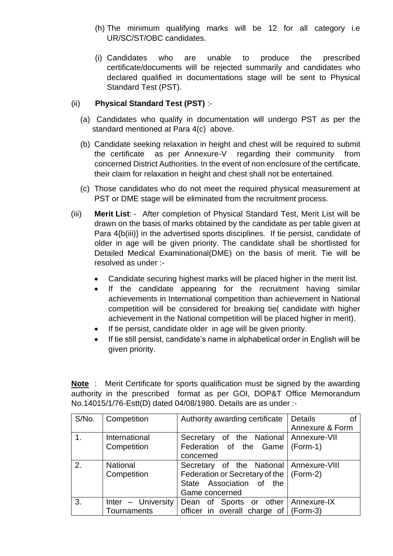- (h) The minimum qualifying marks will be 12 for all category i.e UR/SC/ST/OBC candidates.
- (i) Candidates who are unable to produce the prescribed certificate/documents will be rejected summarily and candidates who declared qualified in documentations stage will be sent to Physical Standard Test (PST).

## (ii) **Physical Standard Test (PST)** :-

- (a) Candidates who qualify in documentation will undergo PST as per the standard mentioned at Para 4(c) above.
- (b) Candidate seeking relaxation in height and chest will be required to submit the certificate as per Annexure-V regarding their community from concerned District Authorities. In the event of non enclosure of the certificate, their claim for relaxation in height and chest shall not be entertained.
- (c) Those candidates who do not meet the required physical measurement at PST or DME stage will be eliminated from the recruitment process.
- (iii) **Merit List**: After completion of Physical Standard Test, Merit List will be drawn on the basis of marks obtained by the candidate as per table given at Para 4{b(iii)} in the advertised sports disciplines. If tie persist, candidate of older in age will be given priority. The candidate shall be shortlisted for Detailed Medical Examinational(DME) on the basis of merit. Tie will be resolved as under :-
	- Candidate securing highest marks will be placed higher in the merit list.
	- If the candidate appearing for the recruitment having similar achievements in International competition than achievement in National competition will be considered for breaking tie( candidate with higher achievement in the National competition will be placed higher in merit).
	- If tie persist, candidate older in age will be given priority.
	- If tie still persist, candidate's name in alphabetical order in English will be given priority.

**Note** : Merit Certificate for sports qualification must be signed by the awarding authority in the prescribed format as per GOI, DOP&T Office Memorandum No.14015/1/76-Estt(D) dated 04/08/1980. Details are as under :-

| S/No. | Competition          | Authority awarding certificate            | <b>Details</b><br>Ωf |
|-------|----------------------|-------------------------------------------|----------------------|
|       |                      |                                           | Annexure & Form      |
|       | International        | Secretary of the National Annexure-VII    |                      |
|       | Competition          | Federation of the Game (Form-1)           |                      |
|       |                      | concerned                                 |                      |
| 2.    | <b>National</b>      | Secretary of the National Annexure-VIII   |                      |
|       | Competition          | Federation or Secretary of the   (Form-2) |                      |
|       |                      | State Association of the                  |                      |
|       |                      | Game concerned                            |                      |
| 3.    | $Inter - University$ | Dean of Sports or other Annexure-IX       |                      |
|       | Tournaments          | officer in overall charge of (Form-3)     |                      |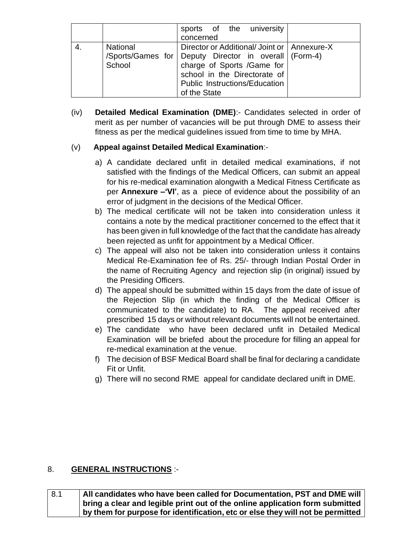|                    | sports of the university<br>concerned                                                                                                                                                                                       |  |
|--------------------|-----------------------------------------------------------------------------------------------------------------------------------------------------------------------------------------------------------------------------|--|
| National<br>School | Director or Additional/Joint or   Annexure-X<br>/Sports/Games for Deputy Director in overall (Form-4)<br>charge of Sports /Game for<br>school in the Directorate of<br><b>Public Instructions/Education</b><br>of the State |  |

(iv) **Detailed Medical Examination (DME)**:- Candidates selected in order of merit as per number of vacancies will be put through DME to assess their fitness as per the medical guidelines issued from time to time by MHA.

## (v) **Appeal against Detailed Medical Examination**:-

- a) A candidate declared unfit in detailed medical examinations, if not satisfied with the findings of the Medical Officers, can submit an appeal for his re-medical examination alongwith a Medical Fitness Certificate as per **Annexure –'VI'**, as a piece of evidence about the possibility of an error of judgment in the decisions of the Medical Officer.
- b) The medical certificate will not be taken into consideration unless it contains a note by the medical practitioner concerned to the effect that it has been given in full knowledge of the fact that the candidate has already been rejected as unfit for appointment by a Medical Officer.
- c) The appeal will also not be taken into consideration unless it contains Medical Re-Examination fee of Rs. 25/- through Indian Postal Order in the name of Recruiting Agency and rejection slip (in original) issued by the Presiding Officers.
- d) The appeal should be submitted within 15 days from the date of issue of the Rejection Slip (in which the finding of the Medical Officer is communicated to the candidate) to RA. The appeal received after prescribed 15 days or without relevant documents will not be entertained.
- e) The candidate who have been declared unfit in Detailed Medical Examination will be briefed about the procedure for filling an appeal for re-medical examination at the venue.
- f) The decision of BSF Medical Board shall be final for declaring a candidate Fit or Unfit.
- g) There will no second RME appeal for candidate declared unift in DME.

## 8. **GENERAL INSTRUCTIONS** :-

| 8.1 | All candidates who have been called for Documentation, PST and DME will        |
|-----|--------------------------------------------------------------------------------|
|     | bring a clear and legible print out of the online application form submitted   |
|     | by them for purpose for identification, etc or else they will not be permitted |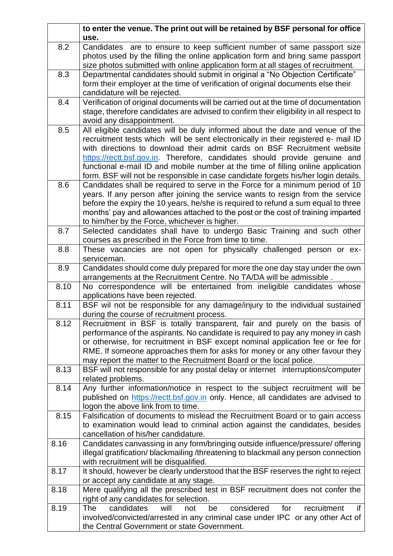|      | to enter the venue. The print out will be retained by BSF personal for office<br>use.                                             |
|------|-----------------------------------------------------------------------------------------------------------------------------------|
| 8.2  | Candidates are to ensure to keep sufficient number of same passport size                                                          |
|      | photos used by the filling the online application form and bring same passport                                                    |
|      | size photos submitted with online application form at all stages of recruitment.                                                  |
| 8.3  | Departmental candidates should submit in original a "No Objection Certificate"                                                    |
|      | form their employer at the time of verification of original documents else their                                                  |
|      | candidature will be rejected.                                                                                                     |
| 8.4  | Verification of original documents will be carried out at the time of documentation                                               |
|      | stage, therefore candidates are advised to confirm their eligibility in all respect to                                            |
|      | avoid any disappointment.                                                                                                         |
| 8.5  | All eligible candidates will be duly informed about the date and venue of the                                                     |
|      | recruitment tests which will be sent electronically in their registered e- mail ID                                                |
|      | with directions to download their admit cards on BSF Recruitment website                                                          |
|      | https://rectt.bsf.gov.in. Therefore, candidates should provide genuine and                                                        |
|      | functional e-mail ID and mobile number at the time of filling online application                                                  |
|      | form. BSF will not be responsible in case candidate forgets his/her login details.                                                |
| 8.6  | Candidates shall be required to serve in the Force for a minimum period of 10                                                     |
|      | years. If any person after joining the service wants to resign from the service                                                   |
|      | before the expiry the 10 years, he/she is required to refund a sum equal to three                                                 |
|      | months' pay and allowances attached to the post or the cost of training imparted                                                  |
|      | to him/her by the Force, whichever is higher.                                                                                     |
| 8.7  | Selected candidates shall have to undergo Basic Training and such other                                                           |
|      | courses as prescribed in the Force from time to time.                                                                             |
| 8.8  | These vacancies are not open for physically challenged person or ex-                                                              |
|      | serviceman.                                                                                                                       |
| 8.9  | Candidates should come duly prepared for more the one day stay under the own                                                      |
| 8.10 | arrangements at the Recruitment Centre. No TA/DA will be admissible.                                                              |
|      | No correspondence will be entertained from ineligible candidates whose<br>applications have been rejected.                        |
| 8.11 | BSF wil not be responsible for any damage/injury to the individual sustained                                                      |
|      | during the course of recruitment process.                                                                                         |
| 8.12 | Recruitment in BSF is totally transparent, fair and purely on the basis of                                                        |
|      | performance of the aspirants. No candidate is required to pay any money in cash                                                   |
|      | or otherwise, for recruitment in BSF except nominal application fee or fee for                                                    |
|      | RME. If someone approaches them for asks for money or any other favour they                                                       |
|      | may report the matter to the Recruitment Board or the local police.                                                               |
| 8.13 | BSF will not responsible for any postal delay or internet interruptions/computer                                                  |
|      | related problems.                                                                                                                 |
| 8.14 | Any further information/notice in respect to the subject recruitment will be                                                      |
|      | published on https://rectt.bsf.gov.in only. Hence, all candidates are advised to                                                  |
|      | logon the above link from to time.                                                                                                |
| 8.15 | Falsification of documents to mislead the Recruitment Board or to gain access                                                     |
|      | to examination would lead to criminal action against the candidates, besides                                                      |
|      | cancellation of his/her candidature.                                                                                              |
| 8.16 | Candidates canvassing in any form/bringing outside influence/pressure/ offering                                                   |
|      | illegal gratification/blackmailing/threatening to blackmail any person connection                                                 |
|      | with recruitment will be disqualified.                                                                                            |
| 8.17 | It should, however be clearly understood that the BSF reserves the right to reject                                                |
|      | or accept any candidate at any stage.                                                                                             |
| 8.18 | Mere qualifying all the prescribed test in BSF recruitment does not confer the                                                    |
| 8.19 | right of any candidates for selection.<br>considered<br>candidates<br>will<br>if<br><b>The</b><br>not<br>be<br>for<br>recruitment |
|      | involved/convicted/arrested in any criminal case under IPC or any other Act of                                                    |
|      | the Central Government or state Government.                                                                                       |
|      |                                                                                                                                   |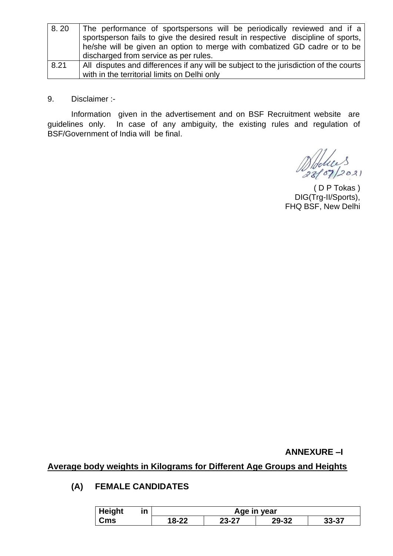| 8.20 | The performance of sportspersons will be periodically reviewed and if a               |
|------|---------------------------------------------------------------------------------------|
|      | sportsperson fails to give the desired result in respective discipline of sports,     |
|      | he/she will be given an option to merge with combatized GD cadre or to be             |
|      | discharged from service as per rules.                                                 |
| 8.21 | All disputes and differences if any will be subject to the jurisdiction of the courts |
|      | with in the territorial limits on Delhi only                                          |

9. Disclaimer :-

Information given in the advertisement and on BSF Recruitment website are guidelines only. In case of any ambiguity, the existing rules and regulation of BSF/Government of India will be final.

Doblice 3

( D P Tokas ) DIG(Trg-II/Sports), FHQ BSF, New Delhi

**ANNEXURE –I** 

**Average body weights in Kilograms for Different Age Groups and Heights** 

## **(A) FEMALE CANDIDATES**

| <b>Height</b><br>ın |  |       |       | Age in year |           |
|---------------------|--|-------|-------|-------------|-----------|
| Cms                 |  | 18-22 | 23-27 | 29-32       | $33 - 37$ |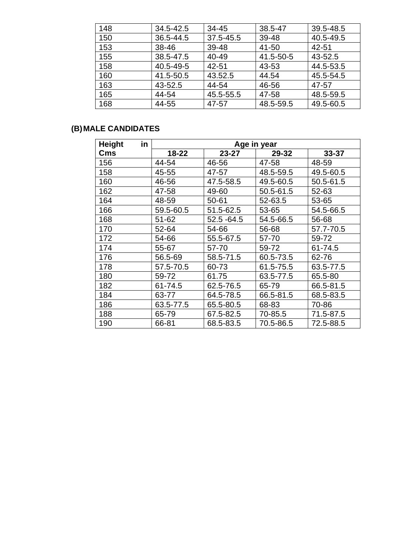| 148 | 34.5-42.5 | 34-45     | 38.5-47   | 39.5-48.5 |
|-----|-----------|-----------|-----------|-----------|
| 150 | 36.5-44.5 | 37.5-45.5 | 39-48     | 40.5-49.5 |
| 153 | 38-46     | 39-48     | 41-50     | 42-51     |
| 155 | 38.5-47.5 | 40-49     | 41.5-50-5 | 43-52.5   |
| 158 | 40.5-49-5 | 42-51     | 43-53     | 44.5-53.5 |
| 160 | 41.5-50.5 | 43.52.5   | 44.54     | 45.5-54.5 |
| 163 | 43-52.5   | 44-54     | 46-56     | 47-57     |
| 165 | 44-54     | 45.5-55.5 | 47-58     | 48.5-59.5 |
| 168 | 44-55     | 47-57     | 48.5-59.5 | 49.5-60.5 |

# **(B)MALE CANDIDATES**

| in<br><b>Height</b> | Age in year |               |           |           |
|---------------------|-------------|---------------|-----------|-----------|
| Cms                 | 18-22       | $23 - 27$     | 29-32     | $33 - 37$ |
| 156                 | 44-54       | 46-56         | 47-58     | 48-59     |
| 158                 | 45-55       | 47-57         | 48.5-59.5 | 49.5-60.5 |
| 160                 | 46-56       | 47.5-58.5     | 49.5-60.5 | 50.5-61.5 |
| 162                 | 47-58       | 49-60         | 50.5-61.5 | 52-63     |
| 164                 | 48-59       | 50-61         | 52-63.5   | 53-65     |
| 166                 | 59.5-60.5   | 51.5-62.5     | 53-65     | 54.5-66.5 |
| 168                 | 51-62       | $52.5 - 64.5$ | 54.5-66.5 | 56-68     |
| 170                 | 52-64       | 54-66         | 56-68     | 57.7-70.5 |
| 172                 | 54-66       | 55.5-67.5     | 57-70     | 59-72     |
| 174                 | 55-67       | 57-70         | 59-72     | 61-74.5   |
| 176                 | 56.5-69     | 58.5-71.5     | 60.5-73.5 | 62-76     |
| 178                 | 57.5-70.5   | 60-73         | 61.5-75.5 | 63.5-77.5 |
| 180                 | 59-72       | 61.75         | 63.5-77.5 | 65.5-80   |
| 182                 | 61-74.5     | 62.5-76.5     | 65-79     | 66.5-81.5 |
| 184                 | 63-77       | 64.5-78.5     | 66.5-81.5 | 68.5-83.5 |
| 186                 | 63.5-77.5   | 65.5-80.5     | 68-83     | 70-86     |
| 188                 | 65-79       | 67.5-82.5     | 70-85.5   | 71.5-87.5 |
| 190                 | 66-81       | 68.5-83.5     | 70.5-86.5 | 72.5-88.5 |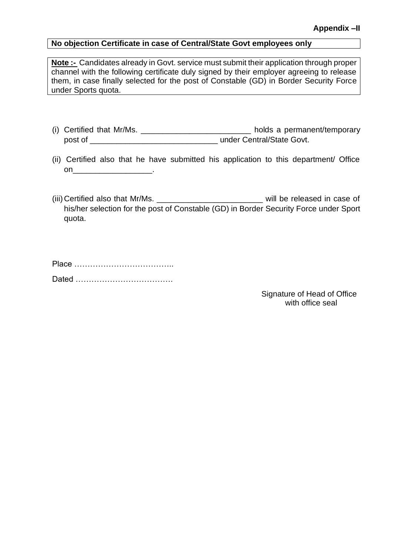### **No objection Certificate in case of Central/State Govt employees only**

**Note :-** Candidates already in Govt. service must submit their application through proper channel with the following certificate duly signed by their employer agreeing to release them, in case finally selected for the post of Constable (GD) in Border Security Force under Sports quota.

- (i) Certified that Mr/Ms. \_\_\_\_\_\_\_\_\_\_\_\_\_\_\_\_\_\_\_\_\_\_\_\_\_ holds a permanent/temporary post of \_\_\_\_\_\_\_\_\_\_\_\_\_\_\_\_\_\_\_\_\_\_\_\_\_\_\_\_\_ under Central/State Govt.
- (ii) Certified also that he have submitted his application to this department/ Office on\_\_\_\_\_\_\_\_\_\_\_\_\_\_\_\_\_\_.
- (iii) Certified also that Mr/Ms. The control of the will be released in case of his/her selection for the post of Constable (GD) in Border Security Force under Sport quota.

Signature of Head of Office with office seal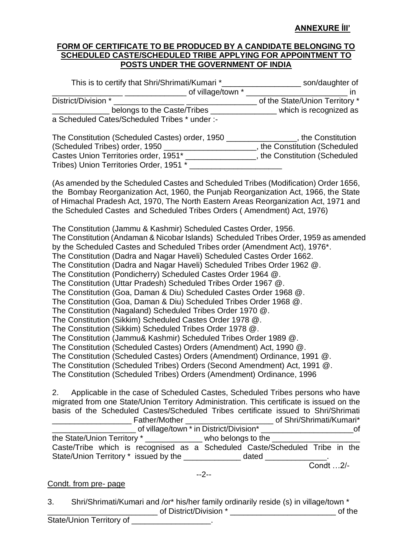## **ANNEXURE ÍII'**

#### **FORM OF CERTIFICATE TO BE PRODUCED BY A CANDIDATE BELONGING TO SCHEDULED CASTE/SCHEDULED TRIBE APPLYING FOR APPOINTMENT TO POSTS UNDER THE GOVERNMENT OF INDIA**

| This is to certify that Shri/Shrimati/Kumari * | son/daughter of                |
|------------------------------------------------|--------------------------------|
| of village/town *                              |                                |
| District/Division *                            | of the State/Union Territory * |
| belongs to the Caste/Tribes                    | which is recognized as         |
| a Scheduled Cates/Scheduled Tribes * under :-  |                                |
| The Constitution (Schoduled Castes) order 1950 | the Constitution               |

| The Constitution (Scheduled Castes) order, 1950 | , the Constitution          |
|-------------------------------------------------|-----------------------------|
| (Scheduled Tribes) order, 1950                  | the Constitution (Scheduled |
| Castes Union Territories order, 1951*           | the Constitution (Scheduled |
| Tribes) Union Territories Order, 1951 *         |                             |

(As amended by the Scheduled Castes and Scheduled Tribes (Modification) Order 1656, the Bombay Reorganization Act, 1960, the Punjab Reorganization Act, 1966, the State of Himachal Pradesh Act, 1970, The North Eastern Areas Reorganization Act, 1971 and the Scheduled Castes and Scheduled Tribes Orders ( Amendment) Act, 1976)

The Constitution (Jammu & Kashmir) Scheduled Castes Order, 1956.

The Constitution (Andaman & Nicobar Islands) Scheduled Tribes Order, 1959 as amended by the Scheduled Castes and Scheduled Tribes order (Amendment Act), 1976\*.

The Constitution (Dadra and Nagar Haveli) Scheduled Castes Order 1662.

The Constitution (Dadra and Nagar Haveli) Scheduled Tribes Order 1962 @.

The Constitution (Pondicherry) Scheduled Castes Order 1964 @.

The Constitution (Uttar Pradesh) Scheduled Tribes Order 1967 @.

The Constitution (Goa, Daman & Diu) Scheduled Castes Order 1968 @.

The Constitution (Goa, Daman & Diu) Scheduled Tribes Order 1968 @.

The Constitution (Nagaland) Scheduled Tribes Order 1970 @.

The Constitution (Sikkim) Scheduled Castes Order 1978 @.

The Constitution (Sikkim) Scheduled Tribes Order 1978 @.

The Constitution (Jammu& Kashmir) Scheduled Tribes Order 1989 @.

The Constitution (Scheduled Castes) Orders (Amendment) Act, 1990 @.

The Constitution (Scheduled Castes) Orders (Amendment) Ordinance, 1991 @.

The Constitution (Scheduled Tribes) Orders (Second Amendment) Act, 1991 @.

The Constitution (Scheduled Tribes) Orders (Amendment) Ordinance, 1996

2. Applicable in the case of Scheduled Castes, Scheduled Tribes persons who have migrated from one State/Union Territory Administration. This certificate is issued on the basis of the Scheduled Castes/Scheduled Tribes certificate issued to Shri/Shrimati \_\_\_\_\_\_\_\_\_\_\_\_\_\_\_\_\_\_ Father/Mother \_\_\_\_\_\_\_\_\_\_\_\_\_\_\_\_\_\_\_\_ of Shri/Shrimati/Kumari\* \_\_\_\_\_\_\_\_\_\_\_\_\_\_\_\_\_\_\_ of village/town \* in District/Division\* \_\_\_\_\_\_\_\_\_\_\_\_\_\_\_\_\_\_\_\_\_of the State/Union Territory \* The state who belongs to the  $\sim$ Caste/Tribe which is recognised as a Scheduled Caste/Scheduled Tribe in the State/Union Territory \* issued by the \_\_\_\_\_\_\_\_\_\_\_\_\_\_\_ dated \_\_\_\_\_\_\_\_\_

 $\overline{\text{Cond}}$  ...2/-

--2--

#### Condt. from pre- page

3. Shri/Shrimati/Kumari and /or\* his/her family ordinarily reside (s) in village/town \* \_\_\_\_\_\_\_\_\_\_\_\_\_\_\_\_\_\_\_\_\_\_\_\_\_ of District/Division \* \_\_\_\_\_\_\_\_\_\_\_\_\_\_\_\_\_\_\_\_\_\_\_\_ of the State/Union Territory of **Example 20**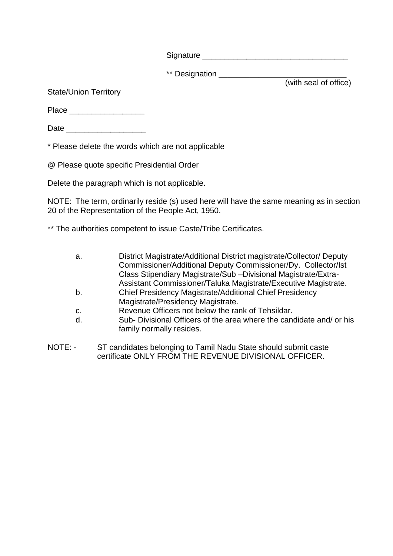Signature **Example 2018** 

\*\* Designation \_\_\_\_\_\_\_\_\_\_\_\_\_\_\_\_\_\_\_\_\_\_\_\_\_\_\_\_\_

(with seal of office)

State/Union Territory

Place \_\_\_\_\_\_\_\_\_\_\_\_\_\_\_\_\_

Date \_\_\_\_\_\_\_\_\_\_\_\_\_\_\_\_\_\_

\* Please delete the words which are not applicable

@ Please quote specific Presidential Order

Delete the paragraph which is not applicable.

NOTE: The term, ordinarily reside (s) used here will have the same meaning as in section 20 of the Representation of the People Act, 1950.

\*\* The authorities competent to issue Caste/Tribe Certificates.

| a. | District Magistrate/Additional District magistrate/Collector/ Deputy |
|----|----------------------------------------------------------------------|
|    | Commissioner/Additional Deputy Commissioner/Dy. Collector/Ist        |
|    | Class Stipendiary Magistrate/Sub -Divisional Magistrate/Extra-       |
|    | Assistant Commissioner/Taluka Magistrate/Executive Magistrate.       |
| b. | <b>Chief Presidency Magistrate/Additional Chief Presidency</b>       |
|    | Magistrate/Presidency Magistrate.                                    |
| C. | Revenue Officers not below the rank of Tehsildar.                    |
| d. | Sub-Divisional Officers of the area where the candidate and/or his   |
|    | family normally resides.                                             |
|    |                                                                      |
|    |                                                                      |

NOTE: - ST candidates belonging to Tamil Nadu State should submit caste certificate ONLY FROM THE REVENUE DIVISIONAL OFFICER.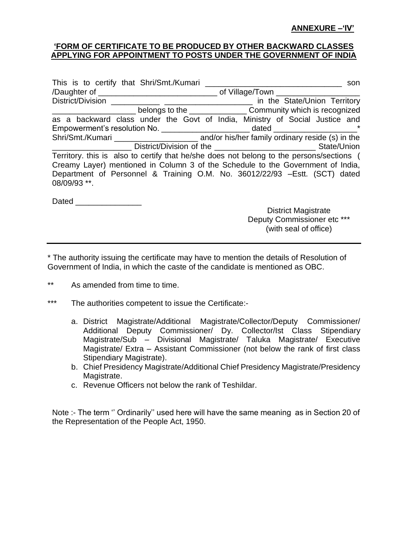#### **ANNEXURE –'IV'**

#### **'FORM OF CERTIFICATE TO BE PRODUCED BY OTHER BACKWARD CLASSES APPLYING FOR APPOINTMENT TO POSTS UNDER THE GOVERNMENT OF INDIA**

|                                                                                             | son                                                                 |
|---------------------------------------------------------------------------------------------|---------------------------------------------------------------------|
| /Daughter of __________________________________ of Village/Town ________________            |                                                                     |
|                                                                                             | in the State/Union Territory                                        |
|                                                                                             | belongs to the _______________________Community which is recognized |
| as a backward class under the Govt of India, Ministry of Social Justice and                 |                                                                     |
| Empowerment's resolution No. ____________________________dated _________________            |                                                                     |
|                                                                                             |                                                                     |
|                                                                                             |                                                                     |
| Territory. this is also to certify that he/she does not belong to the persons/sections (    |                                                                     |
| Creamy Layer) mentioned in Column 3 of the Schedule to the Government of India,             |                                                                     |
| Department of Personnel & Training O.M. No. 36012/22/93 - Estt. (SCT) dated<br>08/09/93 **. |                                                                     |

Dated **Dates** 

District Magistrate Deputy Commissioner etc \*\*\* (with seal of office)

\* The authority issuing the certificate may have to mention the details of Resolution of Government of India, in which the caste of the candidate is mentioned as OBC.

- \*\* As amended from time to time.
- \*\*\* The authorities competent to issue the Certificate:
	- a. District Magistrate/Additional Magistrate/Collector/Deputy Commissioner/ Additional Deputy Commissioner/ Dy. Collector/Ist Class Stipendiary Magistrate/Sub – Divisional Magistrate/ Taluka Magistrate/ Executive Magistrate/ Extra – Assistant Commissioner (not below the rank of first class Stipendiary Magistrate).
	- b. Chief Presidency Magistrate/Additional Chief Presidency Magistrate/Presidency Magistrate.
	- c. Revenue Officers not below the rank of Teshildar.

Note :- The term '' Ordinarily'' used here will have the same meaning as in Section 20 of the Representation of the People Act, 1950.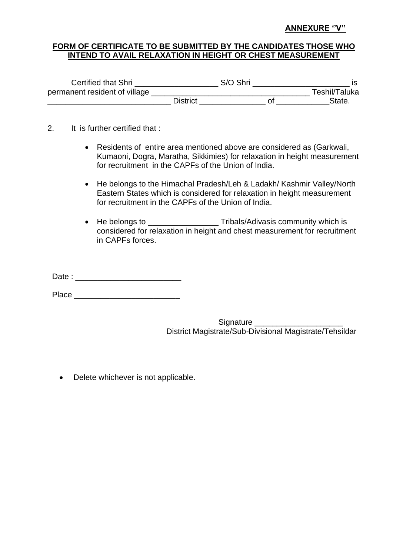#### **ANNEXURE ''V''**

### **FORM OF CERTIFICATE TO BE SUBMITTED BY THE CANDIDATES THOSE WHO INTEND TO AVAIL RELAXATION IN HEIGHT OR CHEST MEASUREMENT**

| Certified that Shri           |          | S/O Shri |               |
|-------------------------------|----------|----------|---------------|
| permanent resident of village |          |          | Teshil/Taluka |
|                               | District |          | State.        |

- 2. It is further certified that :
	- Residents of entire area mentioned above are considered as (Garkwali, Kumaoni, Dogra, Maratha, Sikkimies) for relaxation in height measurement for recruitment in the CAPFs of the Union of India.
	- He belongs to the Himachal Pradesh/Leh & Ladakh/ Kashmir Valley/North Eastern States which is considered for relaxation in height measurement for recruitment in the CAPFs of the Union of India.
	- He belongs to \_\_\_\_\_\_\_\_\_\_\_\_\_\_\_\_\_\_\_\_\_Tribals/Adivasis community which is considered for relaxation in height and chest measurement for recruitment in CAPFs forces.

Date : \_\_\_\_\_\_\_\_\_\_\_\_\_\_\_\_\_\_\_\_\_\_\_\_

Place \_\_\_\_\_\_\_\_\_\_\_\_\_\_\_\_\_\_\_\_\_\_\_\_

Signature District Magistrate/Sub-Divisional Magistrate/Tehsildar

• Delete whichever is not applicable.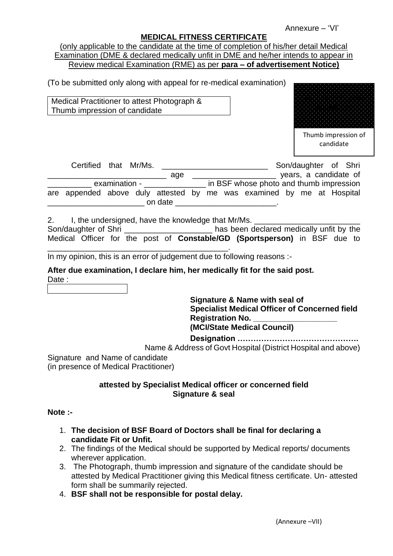Annexure – 'VI'

#### **MEDICAL FITNESS CERTIFICATE**

|  | (only applicable to the candidate at the time of completion of his/her detail Medical |  |  |  |  |
|--|---------------------------------------------------------------------------------------|--|--|--|--|
|  | Examination (DME & declared medically unfit in DME and he/her intends to appear in    |  |  |  |  |
|  | Review medical Examination (RME) as per para – of advertisement Notice)               |  |  |  |  |

(To be submitted only along with appeal for re-medical examination)

Medical Practitioner to attest Photograph & Thumb impression of candidate



Thumb impression of candidate

| Certified that Mr/Ms.                                                 |               |         |  |                                         | Son/daughter of Shri |  |                       |
|-----------------------------------------------------------------------|---------------|---------|--|-----------------------------------------|----------------------|--|-----------------------|
|                                                                       |               | age     |  |                                         |                      |  | years, a candidate of |
|                                                                       | examination - |         |  | in BSF whose photo and thumb impression |                      |  |                       |
| are appended above duly attested by me was examined by me at Hospital |               |         |  |                                         |                      |  |                       |
|                                                                       |               | on date |  |                                         |                      |  |                       |

2. I, the undersigned, have the knowledge that Mr/Ms.

Son/daughter of Shri **Son/daughter of Shri** has been declared medically unfit by the Medical Officer for the post of **Constable/GD (Sportsperson)** in BSF due to \_\_\_\_\_\_\_\_\_\_\_\_\_\_\_\_\_\_\_\_\_\_\_\_\_\_\_\_\_\_\_\_\_\_\_\_\_\_\_\_\_.

In my opinion, this is an error of judgement due to following reasons :-

**After due examination, I declare him, her medically fit for the said post.**  Date :

## **Signature & Name with seal of Specialist Medical Officer of Concerned field Registration No. (MCI/State Medical Council)**

**Designation ……………………………………….**

Name & Address of Govt Hospital (District Hospital and above)

Signature and Name of candidate (in presence of Medical Practitioner)

#### **attested by Specialist Medical officer or concerned field Signature & seal**

#### **Note :-**

- 1. **The decision of BSF Board of Doctors shall be final for declaring a candidate Fit or Unfit.**
- 2. The findings of the Medical should be supported by Medical reports/ documents wherever application.
- 3. The Photograph, thumb impression and signature of the candidate should be attested by Medical Practitioner giving this Medical fitness certificate. Un- attested form shall be summarily rejected.
- 4. **BSF shall not be responsible for postal delay.**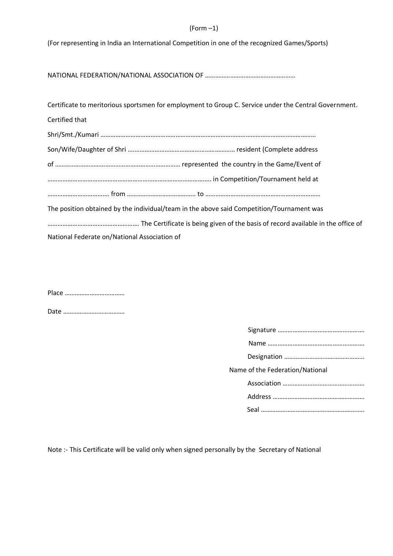#### (Form –1)

(For representing in India an International Competition in one of the recognized Games/Sports)

NATIONAL FEDERATION/NATIONAL ASSOCIATION OF ………………………………………………

|                                              | Certificate to meritorious sportsmen for employment to Group C. Service under the Central Government. |
|----------------------------------------------|-------------------------------------------------------------------------------------------------------|
| Certified that                               |                                                                                                       |
|                                              |                                                                                                       |
|                                              |                                                                                                       |
|                                              |                                                                                                       |
|                                              |                                                                                                       |
|                                              |                                                                                                       |
|                                              | The position obtained by the individual/team in the above said Competition/Tournament was             |
|                                              |                                                                                                       |
| National Federate on/National Association of |                                                                                                       |

Place ………………………………

Date ……………………………….

| Name of the Federation/National |
|---------------------------------|
|                                 |
|                                 |
|                                 |

Note :- This Certificate will be valid only when signed personally by the Secretary of National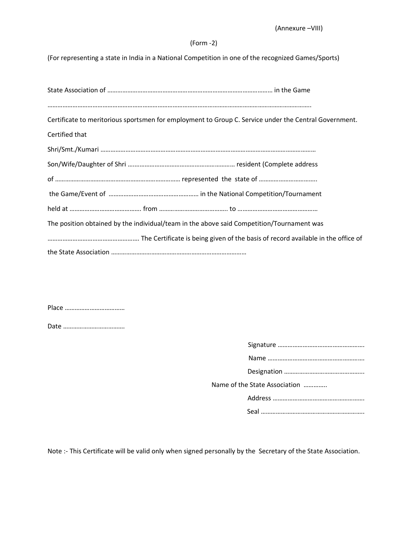#### (Form -2)

(For representing a state in India in a National Competition in one of the recognized Games/Sports)

| Certificate to meritorious sportsmen for employment to Group C. Service under the Central Government. |
|-------------------------------------------------------------------------------------------------------|
| Certified that                                                                                        |
|                                                                                                       |
|                                                                                                       |
|                                                                                                       |
|                                                                                                       |
|                                                                                                       |
| The position obtained by the individual/team in the above said Competition/Tournament was             |
|                                                                                                       |
|                                                                                                       |

Place ………………………………

Date ……………………………….

| Name of the State Association |  |
|-------------------------------|--|
|                               |  |
|                               |  |

Note :- This Certificate will be valid only when signed personally by the Secretary of the State Association.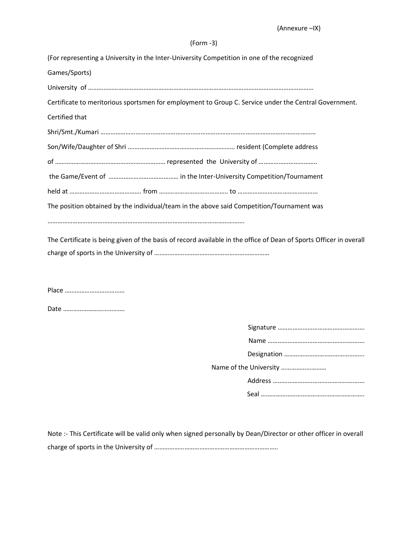#### (Form -3)

| (For representing a University in the Inter-University Competition in one of the recognized                        |
|--------------------------------------------------------------------------------------------------------------------|
| Games/Sports)                                                                                                      |
|                                                                                                                    |
| Certificate to meritorious sportsmen for employment to Group C. Service under the Central Government.              |
| Certified that                                                                                                     |
|                                                                                                                    |
|                                                                                                                    |
|                                                                                                                    |
|                                                                                                                    |
|                                                                                                                    |
| The position obtained by the individual/team in the above said Competition/Tournament was                          |
|                                                                                                                    |
| The Certificate is being given of the basis of record available in the office of Dean of Sports Officer in overall |
|                                                                                                                    |
|                                                                                                                    |

Place ………………………………

Date ……………………………….

Note :- This Certificate will be valid only when signed personally by Dean/Director or other officer in overall charge of sports in the University of ………………………………………………………………..